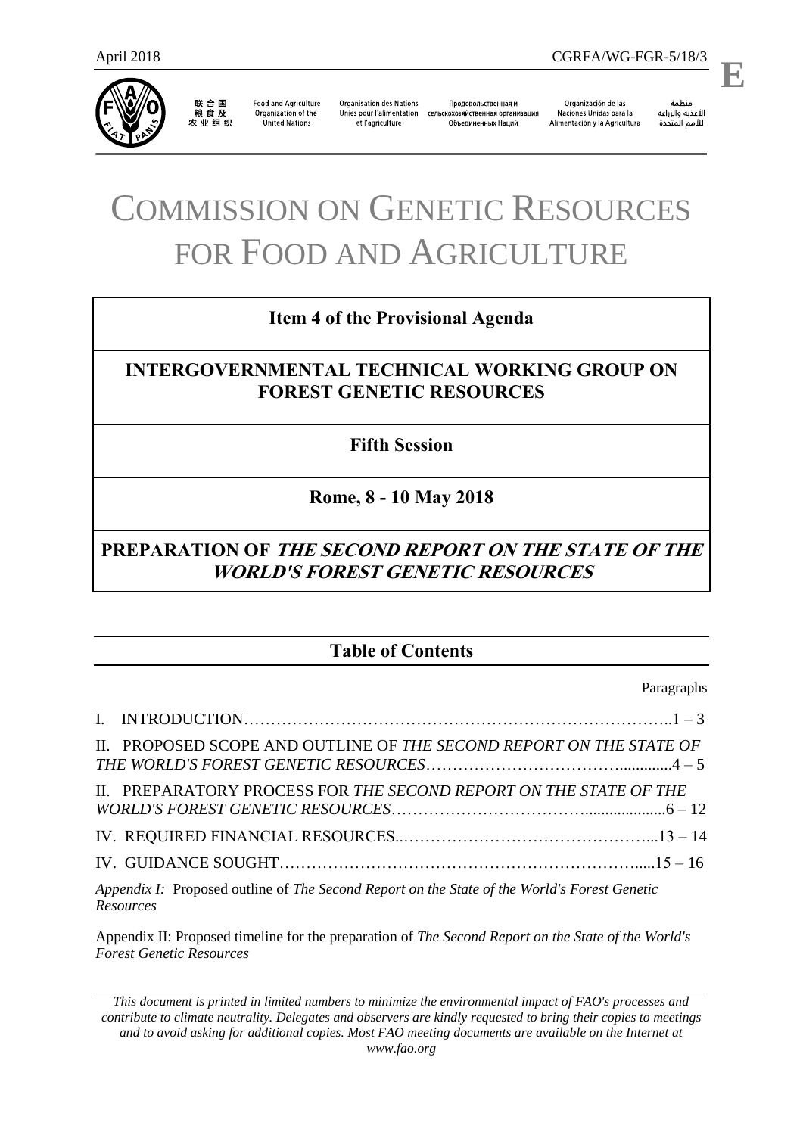

*Resources*

联合国<br>粮食及 农业组织

**Food and Agriculture** Organization of the **United Nations** 

**Organisation des Nations** Unies pour l'alimentation et l'agriculture

Продовольственная и сельскохозяйственная организация Объединенных Наций

Organización de las Naciones Unidas para la Alimentación y la Agricultura

منظمة الأغذية والزراعة 

.

**E**

# COMMISSION ON GENETIC RESOURCES FOR FOOD AND AGRICULTURE

# **Item 4 of the Provisional Agenda**

# **INTERGOVERNMENTAL TECHNICAL WORKING GROUP ON FOREST GENETIC RESOURCES**

# **Fifth Session**

# **Rome, 8 - 10 May 2018**

# **PREPARATION OF THE SECOND REPORT ON THE STATE OF THE WORLD'S FOREST GENETIC RESOURCES**

# **Table of Contents**

Paragraphs

| II. PROPOSED SCOPE AND OUTLINE OF THE SECOND REPORT ON THE STATE OF                          |  |
|----------------------------------------------------------------------------------------------|--|
| II. PREPARATORY PROCESS FOR THE SECOND REPORT ON THE STATE OF THE                            |  |
|                                                                                              |  |
|                                                                                              |  |
| Appendix I: Proposed outline of The Second Report on the State of the World's Forest Genetic |  |

Appendix II: Proposed timeline for the preparation of *The Second Report on the State of the World's Forest Genetic Resources* 

*This document is printed in limited numbers to minimize the environmental impact of FAO's processes and contribute to climate neutrality. Delegates and observers are kindly requested to bring their copies to meetings and to avoid asking for additional copies. Most FAO meeting documents are available on the Internet at*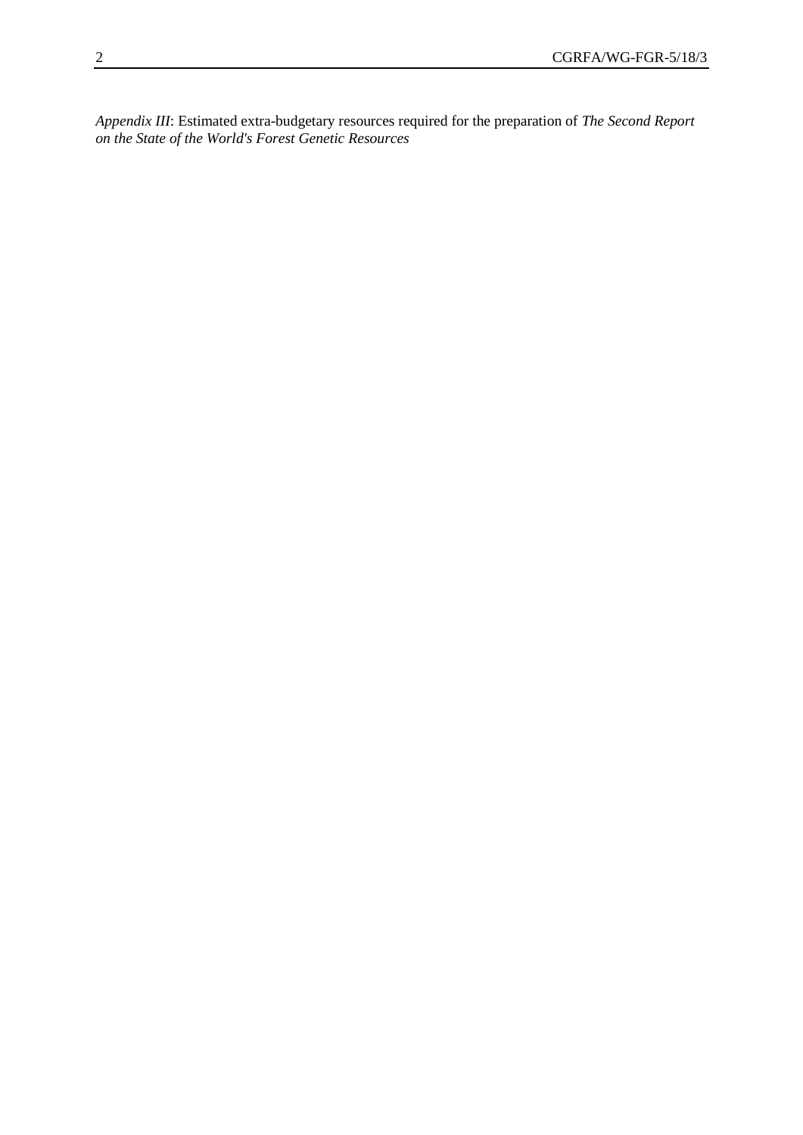*Appendix III*: Estimated extra-budgetary resources required for the preparation of *The Second Report on the State of the World's Forest Genetic Resources*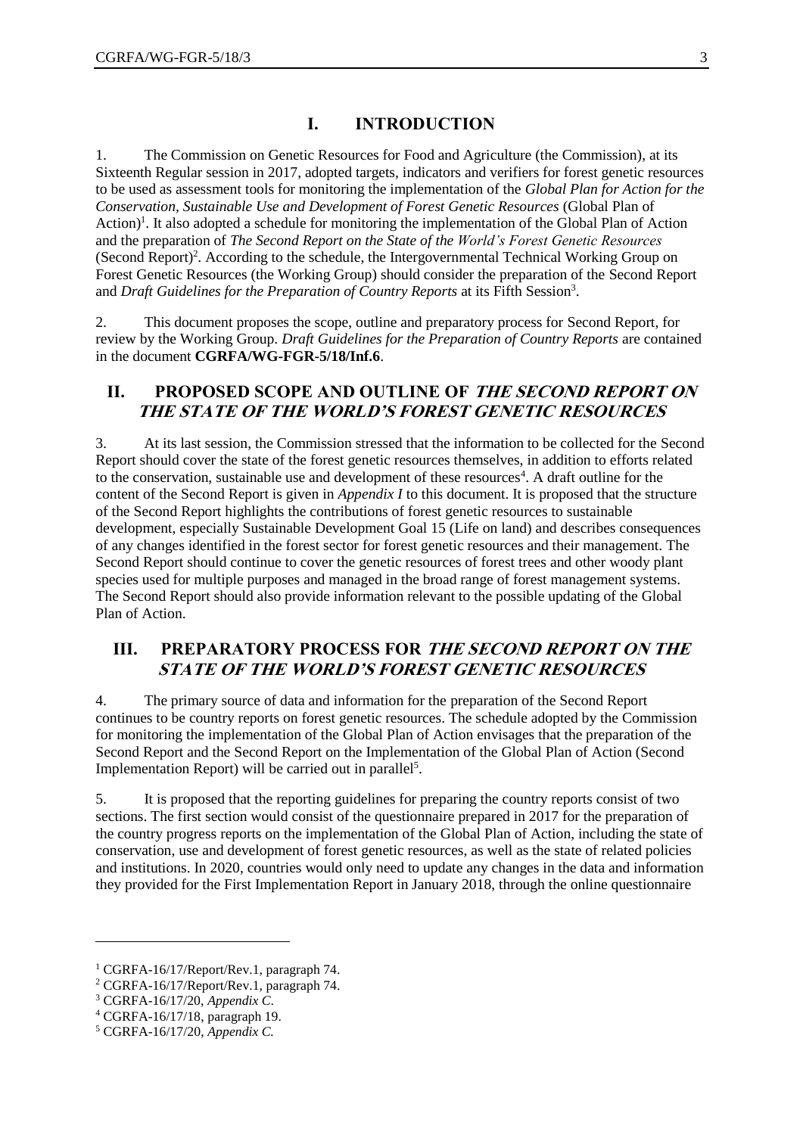# **I. INTRODUCTION**

1. The Commission on Genetic Resources for Food and Agriculture (the Commission), at its Sixteenth Regular session in 2017, adopted targets, indicators and verifiers for forest genetic resources to be used as assessment tools for monitoring the implementation of the *Global Plan for Action for the Conservation, Sustainable Use and Development of Forest Genetic Resources* (Global Plan of Action)<sup>1</sup>. It also adopted a schedule for monitoring the implementation of the Global Plan of Action and the preparation of *The Second Report on the State of the World's Forest Genetic Resources* (Second Report) 2 . According to the schedule, the Intergovernmental Technical Working Group on Forest Genetic Resources (the Working Group) should consider the preparation of the Second Report and *Draft Guidelines for the Preparation of Country Reports* at its Fifth Session<sup>3</sup>.

2. This document proposes the scope, outline and preparatory process for Second Report, for review by the Working Group. *Draft Guidelines for the Preparation of Country Reports* are contained in the document **CGRFA/WG-FGR-5/18/Inf.6**.

# **II. PROPOSED SCOPE AND OUTLINE OF THE SECOND REPORT ON THE STATE OF THE WORLD'S FOREST GENETIC RESOURCES**

3. At its last session, the Commission stressed that the information to be collected for the Second Report should cover the state of the forest genetic resources themselves, in addition to efforts related to the conservation, sustainable use and development of these resources<sup>4</sup>. A draft outline for the content of the Second Report is given in *Appendix I* to this document. It is proposed that the structure of the Second Report highlights the contributions of forest genetic resources to sustainable development, especially Sustainable Development Goal 15 (Life on land) and describes consequences of any changes identified in the forest sector for forest genetic resources and their management. The Second Report should continue to cover the genetic resources of forest trees and other woody plant species used for multiple purposes and managed in the broad range of forest management systems. The Second Report should also provide information relevant to the possible updating of the Global Plan of Action.

# **III. PREPARATORY PROCESS FOR THE SECOND REPORT ON THE STATE OF THE WORLD'S FOREST GENETIC RESOURCES**

4. The primary source of data and information for the preparation of the Second Report continues to be country reports on forest genetic resources. The schedule adopted by the Commission for monitoring the implementation of the Global Plan of Action envisages that the preparation of the Second Report and the Second Report on the Implementation of the Global Plan of Action (Second Implementation Report) will be carried out in parallel<sup>5</sup>.

5. It is proposed that the reporting guidelines for preparing the country reports consist of two sections. The first section would consist of the questionnaire prepared in 2017 for the preparation of the country progress reports on the implementation of the Global Plan of Action, including the state of conservation, use and development of forest genetic resources, as well as the state of related policies and institutions. In 2020, countries would only need to update any changes in the data and information they provided for the First Implementation Report in January 2018, through the online questionnaire

 $\overline{a}$ 

<sup>1</sup> CGRFA-16/17/Report/Rev.1, paragraph 74.

<sup>2</sup> CGRFA-16/17/Report/Rev.1, paragraph 74.

<sup>3</sup> CGRFA-16/17/20, *Appendix C*.

<sup>4</sup> CGRFA-16/17/18, paragraph 19.

<sup>5</sup> CGRFA-16/17/20, *Appendix C.*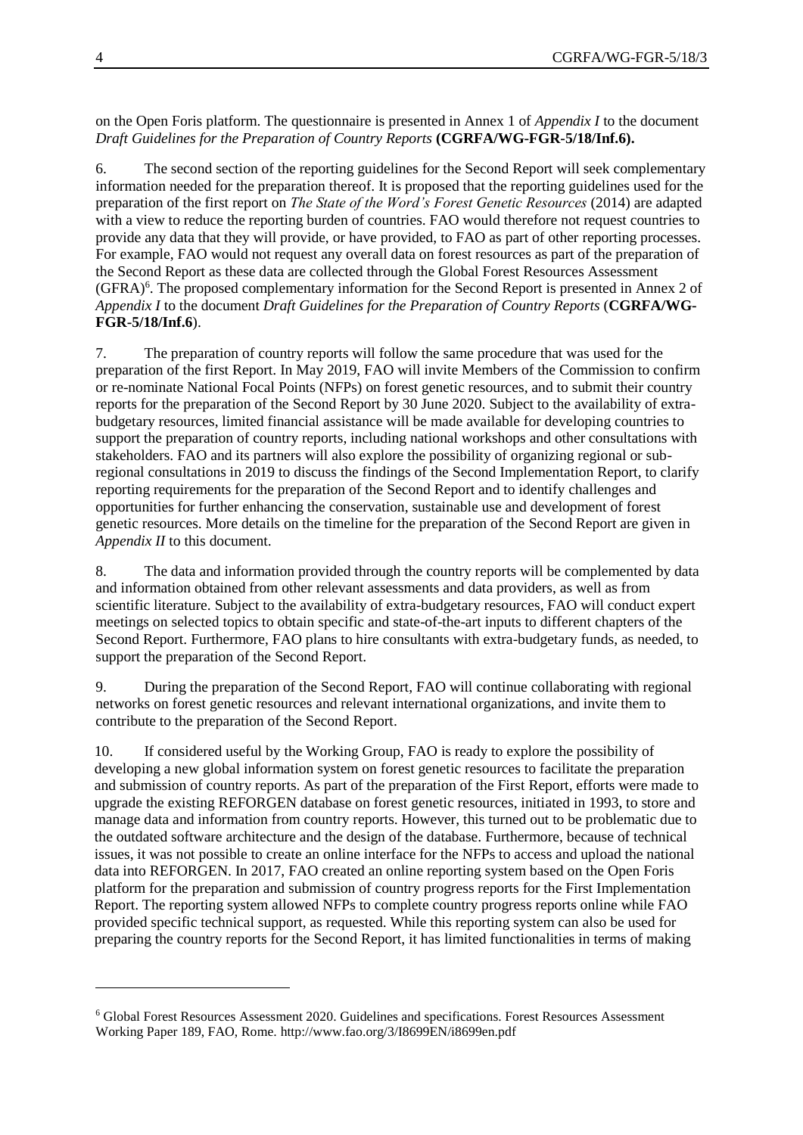#### on the Open Foris platform. The questionnaire is presented in Annex 1 of *Appendix I* to the document *Draft Guidelines for the Preparation of Country Reports* **(CGRFA/WG-FGR-5/18/Inf.6).**

6. The second section of the reporting guidelines for the Second Report will seek complementary information needed for the preparation thereof. It is proposed that the reporting guidelines used for the preparation of the first report on *The State of the Word's Forest Genetic Resources* (2014) are adapted with a view to reduce the reporting burden of countries. FAO would therefore not request countries to provide any data that they will provide, or have provided, to FAO as part of other reporting processes. For example, FAO would not request any overall data on forest resources as part of the preparation of the Second Report as these data are collected through the Global Forest Resources Assessment (GFRA)<sup>6</sup>. The proposed complementary information for the Second Report is presented in Annex 2 of *Appendix I* to the document *Draft Guidelines for the Preparation of Country Reports* (**CGRFA/WG-FGR-5/18/Inf.6**).

7. The preparation of country reports will follow the same procedure that was used for the preparation of the first Report. In May 2019, FAO will invite Members of the Commission to confirm or re-nominate National Focal Points (NFPs) on forest genetic resources, and to submit their country reports for the preparation of the Second Report by 30 June 2020. Subject to the availability of extrabudgetary resources, limited financial assistance will be made available for developing countries to support the preparation of country reports, including national workshops and other consultations with stakeholders. FAO and its partners will also explore the possibility of organizing regional or subregional consultations in 2019 to discuss the findings of the Second Implementation Report, to clarify reporting requirements for the preparation of the Second Report and to identify challenges and opportunities for further enhancing the conservation, sustainable use and development of forest genetic resources. More details on the timeline for the preparation of the Second Report are given in *Appendix II* to this document.

8. The data and information provided through the country reports will be complemented by data and information obtained from other relevant assessments and data providers, as well as from scientific literature. Subject to the availability of extra-budgetary resources, FAO will conduct expert meetings on selected topics to obtain specific and state-of-the-art inputs to different chapters of the Second Report. Furthermore, FAO plans to hire consultants with extra-budgetary funds, as needed, to support the preparation of the Second Report.

9. During the preparation of the Second Report, FAO will continue collaborating with regional networks on forest genetic resources and relevant international organizations, and invite them to contribute to the preparation of the Second Report.

10. If considered useful by the Working Group, FAO is ready to explore the possibility of developing a new global information system on forest genetic resources to facilitate the preparation and submission of country reports. As part of the preparation of the First Report, efforts were made to upgrade the existing REFORGEN database on forest genetic resources, initiated in 1993, to store and manage data and information from country reports. However, this turned out to be problematic due to the outdated software architecture and the design of the database. Furthermore, because of technical issues, it was not possible to create an online interface for the NFPs to access and upload the national data into REFORGEN. In 2017, FAO created an online reporting system based on the Open Foris platform for the preparation and submission of country progress reports for the First Implementation Report. The reporting system allowed NFPs to complete country progress reports online while FAO provided specific technical support, as requested. While this reporting system can also be used for preparing the country reports for the Second Report, it has limited functionalities in terms of making

 $\overline{a}$ 

<sup>6</sup> Global Forest Resources Assessment 2020. Guidelines and specifications. Forest Resources Assessment Working Paper 189, FAO, Rome.<http://www.fao.org/3/I8699EN/i8699en.pdf>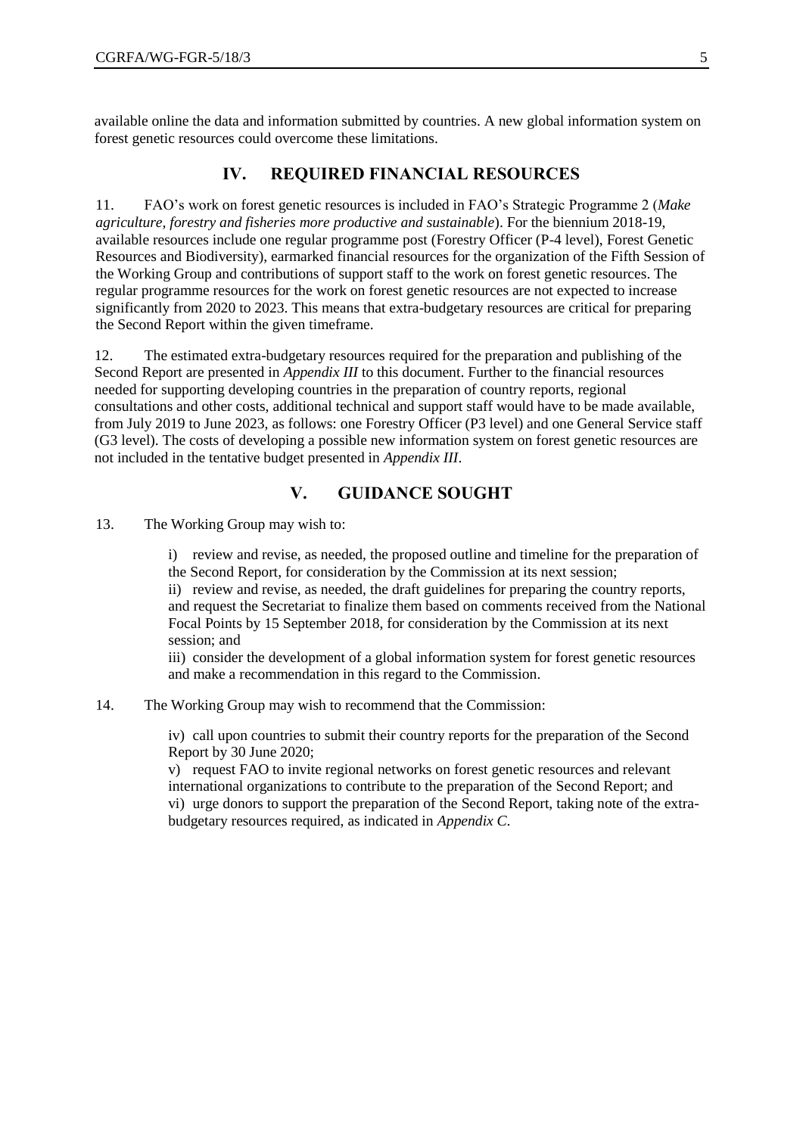available online the data and information submitted by countries. A new global information system on forest genetic resources could overcome these limitations.

## **IV. REQUIRED FINANCIAL RESOURCES**

11. FAO's work on forest genetic resources is included in FAO's Strategic Programme 2 (*Make agriculture, forestry and fisheries more productive and sustainable*). For the biennium 2018-19, available resources include one regular programme post (Forestry Officer (P-4 level), Forest Genetic Resources and Biodiversity), earmarked financial resources for the organization of the Fifth Session of the Working Group and contributions of support staff to the work on forest genetic resources. The regular programme resources for the work on forest genetic resources are not expected to increase significantly from 2020 to 2023. This means that extra-budgetary resources are critical for preparing the Second Report within the given timeframe.

12. The estimated extra-budgetary resources required for the preparation and publishing of the Second Report are presented in *Appendix III* to this document. Further to the financial resources needed for supporting developing countries in the preparation of country reports, regional consultations and other costs, additional technical and support staff would have to be made available, from July 2019 to June 2023, as follows: one Forestry Officer (P3 level) and one General Service staff (G3 level). The costs of developing a possible new information system on forest genetic resources are not included in the tentative budget presented in *Appendix III*.

## **V. GUIDANCE SOUGHT**

13. The Working Group may wish to:

i) review and revise, as needed, the proposed outline and timeline for the preparation of the Second Report, for consideration by the Commission at its next session; ii) review and revise, as needed, the draft guidelines for preparing the country reports, and request the Secretariat to finalize them based on comments received from the National Focal Points by 15 September 2018, for consideration by the Commission at its next session; and

iii) consider the development of a global information system for forest genetic resources and make a recommendation in this regard to the Commission.

14. The Working Group may wish to recommend that the Commission:

iv) call upon countries to submit their country reports for the preparation of the Second Report by 30 June 2020;

v) request FAO to invite regional networks on forest genetic resources and relevant international organizations to contribute to the preparation of the Second Report; and vi) urge donors to support the preparation of the Second Report, taking note of the extrabudgetary resources required, as indicated in *Appendix C*.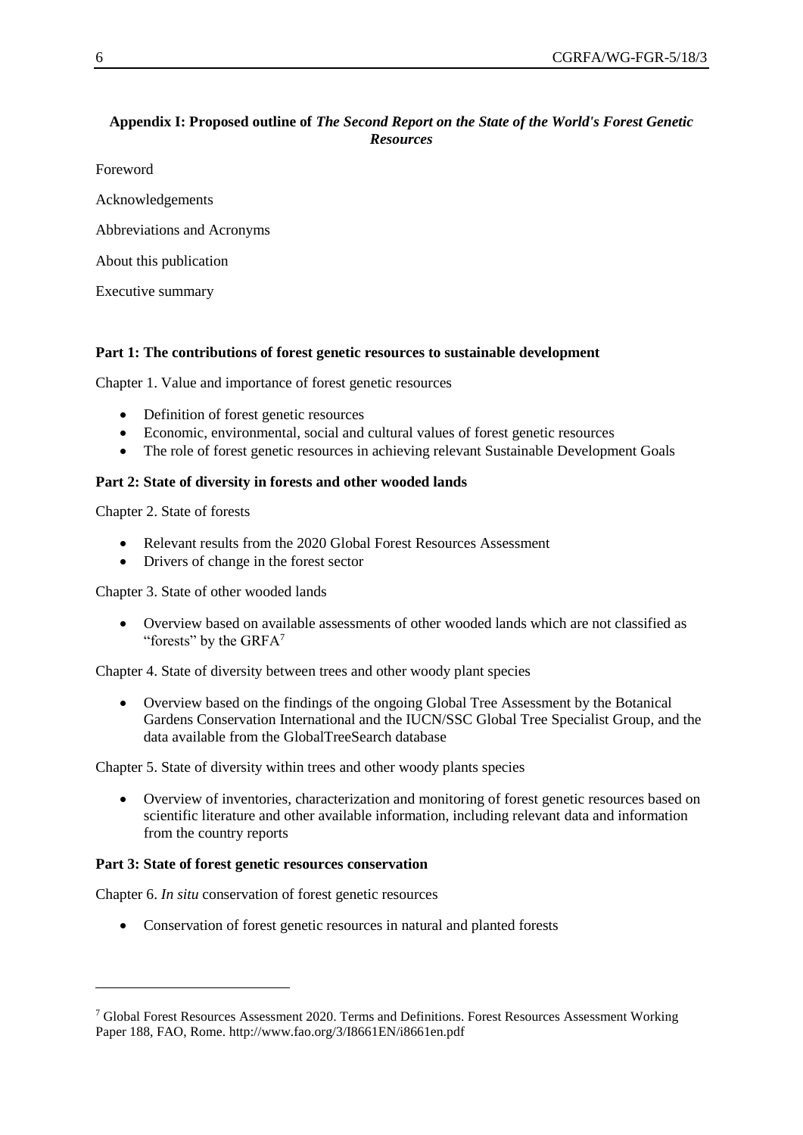## **Appendix I: Proposed outline of** *The Second Report on the State of the World's Forest Genetic Resources*

Foreword

Acknowledgements

Abbreviations and Acronyms

About this publication

Executive summary

#### **Part 1: The contributions of forest genetic resources to sustainable development**

Chapter 1. Value and importance of forest genetic resources

- Definition of forest genetic resources
- Economic, environmental, social and cultural values of forest genetic resources
- The role of forest genetic resources in achieving relevant Sustainable Development Goals

#### **Part 2: State of diversity in forests and other wooded lands**

Chapter 2. State of forests

 $\overline{a}$ 

- Relevant results from the 2020 Global Forest Resources Assessment
- Drivers of change in the forest sector

Chapter 3. State of other wooded lands

 Overview based on available assessments of other wooded lands which are not classified as "forests" by the  $G \nRFA$ <sup>7</sup>

Chapter 4. State of diversity between trees and other woody plant species

 Overview based on the findings of the ongoing Global Tree Assessment by the Botanical Gardens Conservation International and the IUCN/SSC Global Tree Specialist Group, and the data available from the GlobalTreeSearch database

Chapter 5. State of diversity within trees and other woody plants species

 Overview of inventories, characterization and monitoring of forest genetic resources based on scientific literature and other available information, including relevant data and information from the country reports

#### **Part 3: State of forest genetic resources conservation**

Chapter 6. *In situ* conservation of forest genetic resources

Conservation of forest genetic resources in natural and planted forests

<sup>7</sup> Global Forest Resources Assessment 2020. Terms and Definitions. Forest Resources Assessment Working Paper 188, FAO, Rome.<http://www.fao.org/3/I8661EN/i8661en.pdf>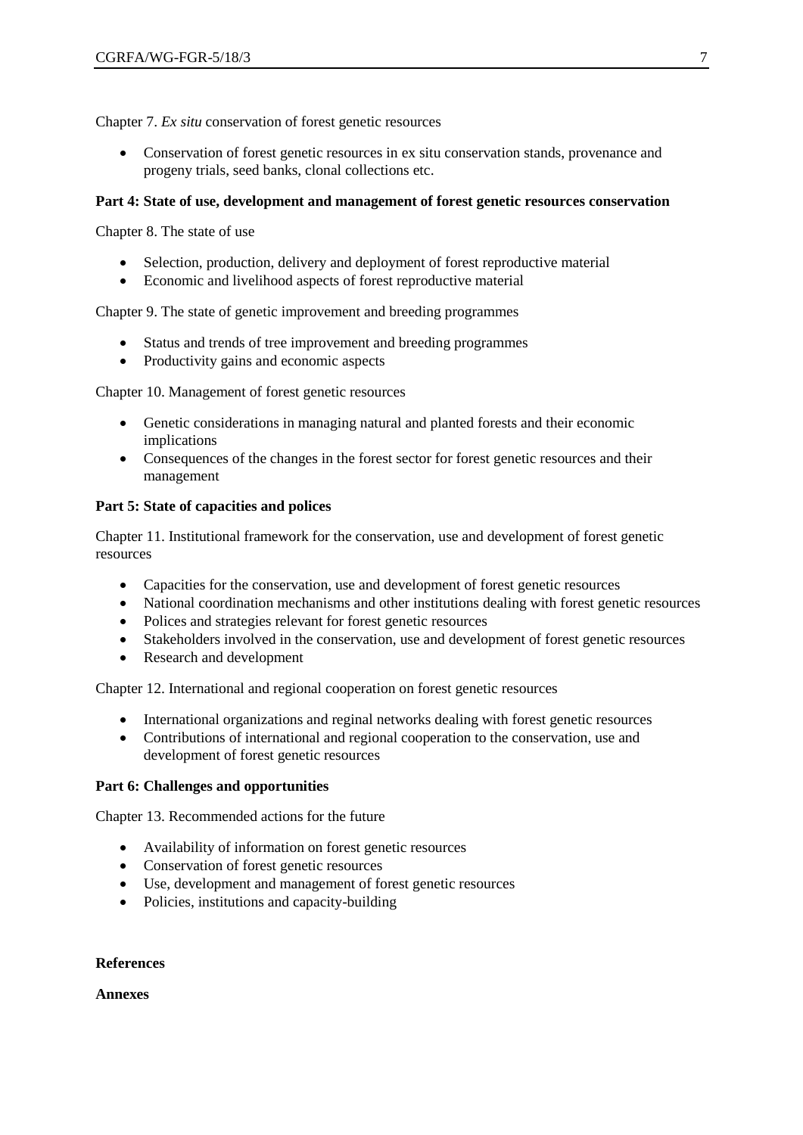Chapter 7. *Ex situ* conservation of forest genetic resources

 Conservation of forest genetic resources in ex situ conservation stands, provenance and progeny trials, seed banks, clonal collections etc.

#### **Part 4: State of use, development and management of forest genetic resources conservation**

Chapter 8. The state of use

- Selection, production, delivery and deployment of forest reproductive material
- Economic and livelihood aspects of forest reproductive material

Chapter 9. The state of genetic improvement and breeding programmes

- Status and trends of tree improvement and breeding programmes
- Productivity gains and economic aspects

Chapter 10. Management of forest genetic resources

- Genetic considerations in managing natural and planted forests and their economic implications
- Consequences of the changes in the forest sector for forest genetic resources and their management

### **Part 5: State of capacities and polices**

Chapter 11. Institutional framework for the conservation, use and development of forest genetic resources

- Capacities for the conservation, use and development of forest genetic resources
- National coordination mechanisms and other institutions dealing with forest genetic resources
- Polices and strategies relevant for forest genetic resources
- Stakeholders involved in the conservation, use and development of forest genetic resources
- Research and development

Chapter 12. International and regional cooperation on forest genetic resources

- International organizations and reginal networks dealing with forest genetic resources
- Contributions of international and regional cooperation to the conservation, use and development of forest genetic resources

#### **Part 6: Challenges and opportunities**

Chapter 13. Recommended actions for the future

- Availability of information on forest genetic resources
- Conservation of forest genetic resources
- Use, development and management of forest genetic resources
- Policies, institutions and capacity-building

#### **References**

#### **Annexes**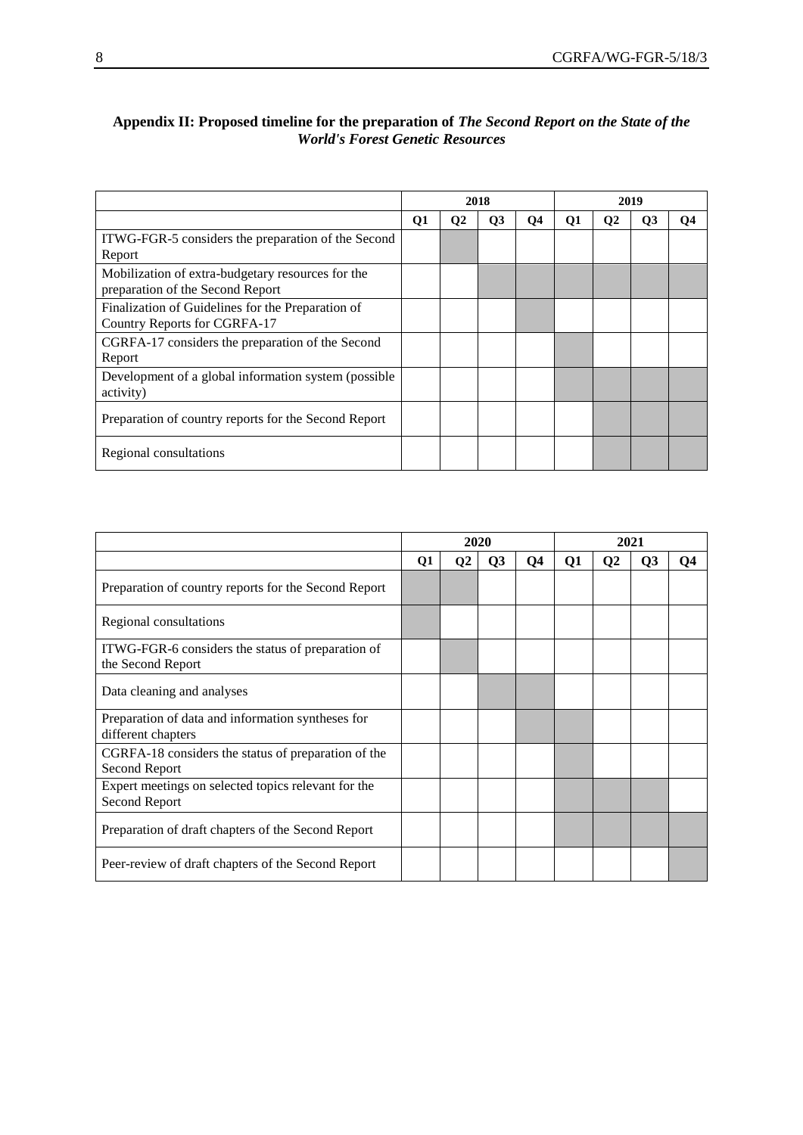|                                                                                       | 2018 |              |           |           | 2019 |               |    |    |  |
|---------------------------------------------------------------------------------------|------|--------------|-----------|-----------|------|---------------|----|----|--|
|                                                                                       | Q1   | $\mathbf{Q}$ | <b>O3</b> | <b>O4</b> | Q1   | $\mathbf{O}2$ | Q3 | О4 |  |
| ITWG-FGR-5 considers the preparation of the Second<br>Report                          |      |              |           |           |      |               |    |    |  |
| Mobilization of extra-budgetary resources for the<br>preparation of the Second Report |      |              |           |           |      |               |    |    |  |
| Finalization of Guidelines for the Preparation of<br>Country Reports for CGRFA-17     |      |              |           |           |      |               |    |    |  |
| CGRFA-17 considers the preparation of the Second<br>Report                            |      |              |           |           |      |               |    |    |  |
| Development of a global information system (possible<br>activity)                     |      |              |           |           |      |               |    |    |  |
| Preparation of country reports for the Second Report                                  |      |              |           |           |      |               |    |    |  |
| Regional consultations                                                                |      |              |           |           |      |               |    |    |  |

## **Appendix II: Proposed timeline for the preparation of** *The Second Report on the State of the World's Forest Genetic Resources*

|                                                                             | 2020 |                |    |                | 2021 |                |    |                |
|-----------------------------------------------------------------------------|------|----------------|----|----------------|------|----------------|----|----------------|
|                                                                             | Q1   | Q <sub>2</sub> | Q3 | Q <sub>4</sub> | Q1   | Q <sub>2</sub> | Q3 | Q <sub>4</sub> |
| Preparation of country reports for the Second Report                        |      |                |    |                |      |                |    |                |
| Regional consultations                                                      |      |                |    |                |      |                |    |                |
| ITWG-FGR-6 considers the status of preparation of<br>the Second Report      |      |                |    |                |      |                |    |                |
| Data cleaning and analyses                                                  |      |                |    |                |      |                |    |                |
| Preparation of data and information syntheses for<br>different chapters     |      |                |    |                |      |                |    |                |
| CGRFA-18 considers the status of preparation of the<br>Second Report        |      |                |    |                |      |                |    |                |
| Expert meetings on selected topics relevant for the<br><b>Second Report</b> |      |                |    |                |      |                |    |                |
| Preparation of draft chapters of the Second Report                          |      |                |    |                |      |                |    |                |
| Peer-review of draft chapters of the Second Report                          |      |                |    |                |      |                |    |                |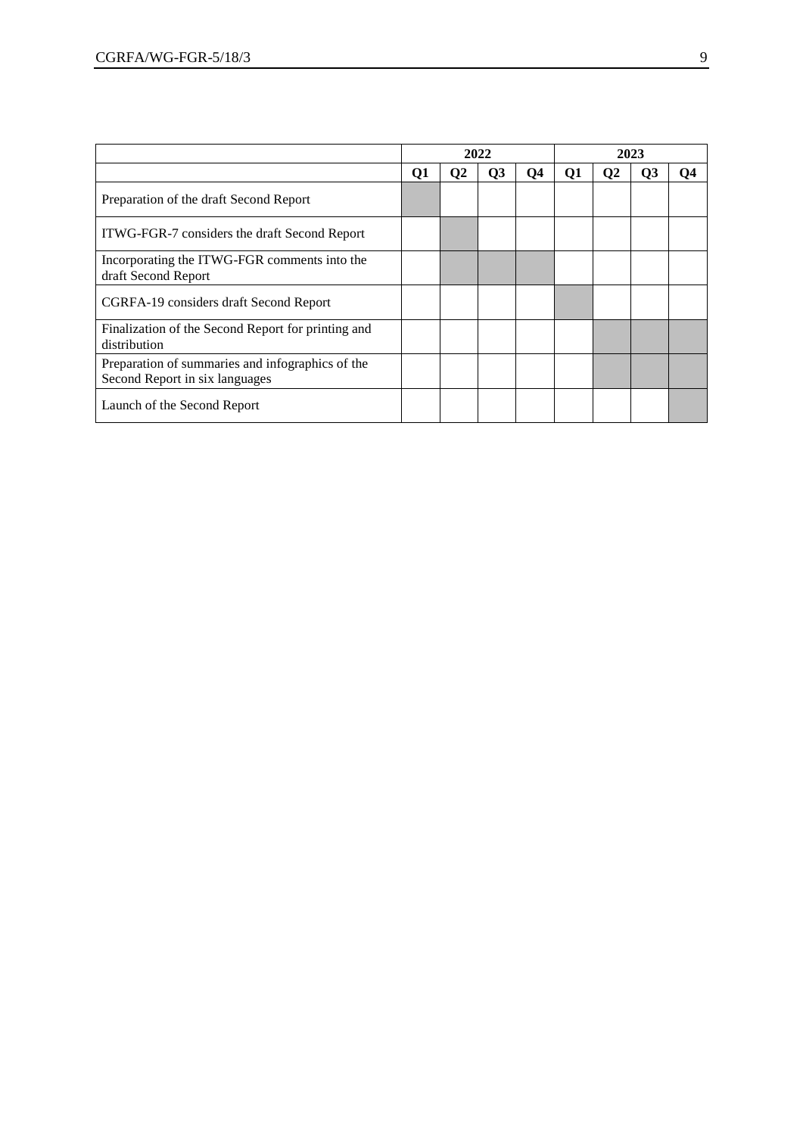|                                                                                    | 2022 |                |           |    | 2023 |    |                |    |
|------------------------------------------------------------------------------------|------|----------------|-----------|----|------|----|----------------|----|
|                                                                                    | Q1   | Q <sub>2</sub> | <b>O3</b> | Q4 | Q1   | O2 | Q <sub>3</sub> | O4 |
| Preparation of the draft Second Report                                             |      |                |           |    |      |    |                |    |
| ITWG-FGR-7 considers the draft Second Report                                       |      |                |           |    |      |    |                |    |
| Incorporating the ITWG-FGR comments into the<br>draft Second Report                |      |                |           |    |      |    |                |    |
| CGRFA-19 considers draft Second Report                                             |      |                |           |    |      |    |                |    |
| Finalization of the Second Report for printing and<br>distribution                 |      |                |           |    |      |    |                |    |
| Preparation of summaries and infographics of the<br>Second Report in six languages |      |                |           |    |      |    |                |    |
| Launch of the Second Report                                                        |      |                |           |    |      |    |                |    |